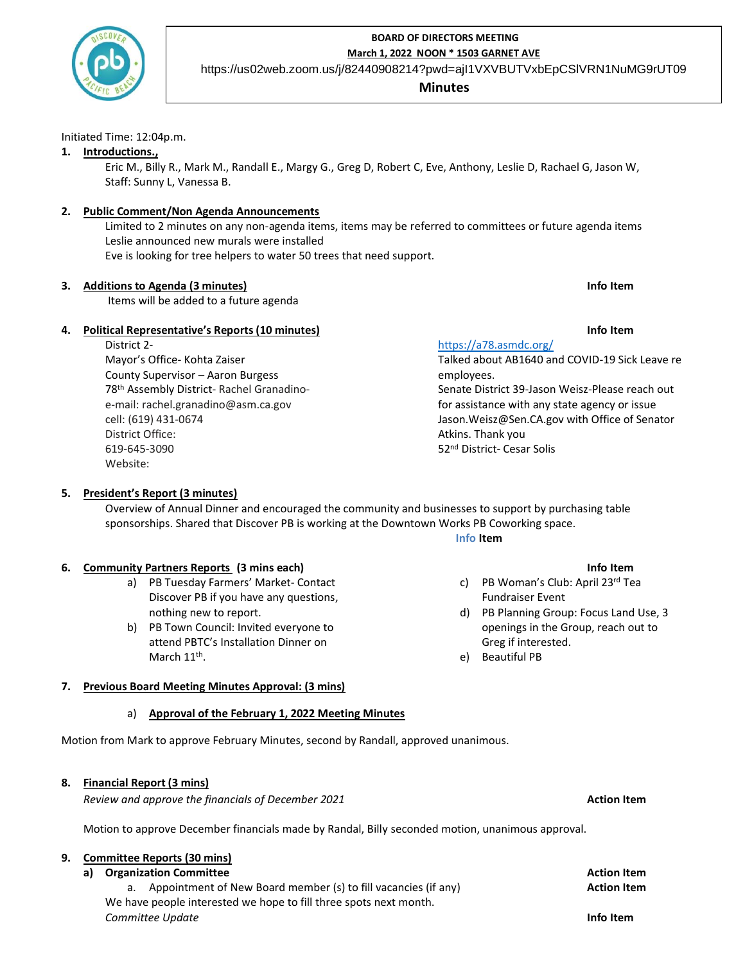

## **BOARD OF DIRECTORS MEETING March 1, 2022 NOON \* 1503 GARNET AVE**

https://us02web.zoom.us/j/82440908214?pwd=ajI1VXVBUTVxbEpCSlVRN1NuMG9rUT09

# **Minutes**

#### Initiated Time: 12:04p.m.

## **1. Introductions.,**

Eric M., Billy R., Mark M., Randall E., Margy G., Greg D, Robert C, Eve, Anthony, Leslie D, Rachael G, Jason W, Staff: Sunny L, Vanessa B.

## **2. Public Comment/Non Agenda Announcements**

Limited to 2 minutes on any non-agenda items, items may be referred to committees or future agenda items Leslie announced new murals were installed

Eve is looking for tree helpers to water 50 trees that need support.

# **3. Additions to Agenda (3 minutes) Info Item**

Items will be added to a future agenda

# **4. Political Representative's Reports (10 minutes) Info Item**

District 2- Mayor's Office- Kohta Zaiser County Supervisor – Aaron Burgess 78th Assembly District- Rachel Granadinoe-mail: rachel.granadino@asm.ca.gov cell: (619) 431-0674 District Office: 619-645-3090 Website:

# <https://a78.asmdc.org/>

Talked about AB1640 and COVID-19 Sick Leave re employees.

Senate District 39-Jason Weisz-Please reach out for assistance with any state agency or issue Jason.Weisz@Sen.CA.gov with Office of Senator Atkins. Thank you 52nd District- Cesar Solis

## **5. President's Report (3 minutes)**

Overview of Annual Dinner and encouraged the community and businesses to support by purchasing table sponsorships. Shared that Discover PB is working at the Downtown Works PB Coworking space.

#### **Info Item**

## **6. Community Partners Reports (3 mins each) Info Item**

- a) PB Tuesday Farmers' Market- Contact Discover PB if you have any questions, nothing new to report.
- b) PB Town Council: Invited everyone to attend PBTC's Installation Dinner on March 11<sup>th</sup>.

- c) PB Woman's Club: April 23rd Tea Fundraiser Event
- d) PB Planning Group: Focus Land Use, 3 openings in the Group, reach out to Greg if interested.
- e) Beautiful PB

## **7. Previous Board Meeting Minutes Approval: (3 mins)**

## a) **Approval of the February 1, 2022 Meeting Minutes**

Motion from Mark to approve February Minutes, second by Randall, approved unanimous.

# **8. Financial Report (3 mins)**

*Review and approve the financials of December 2021* **Action Item**

Motion to approve December financials made by Randal, Billy seconded motion, unanimous approval.

#### **9. Committee Reports (30 mins)**

# **a) Organization Committee Action Item** a. Appointment of New Board member (s) to fill vacancies (if any) **Action Item** We have people interested we hope to fill three spots next month. *Committee Update* **Info Item**